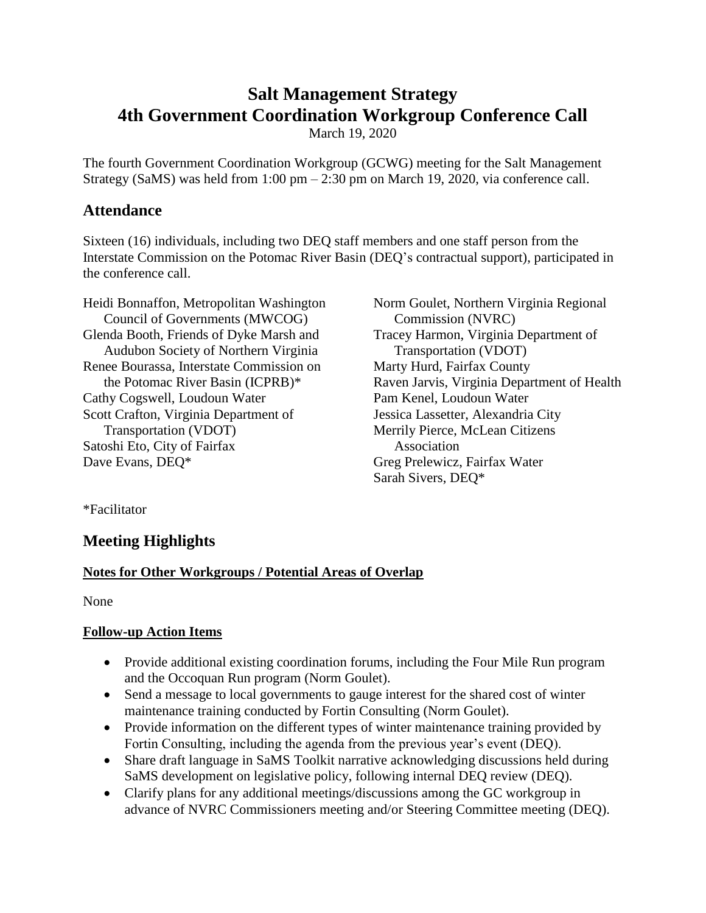# **Salt Management Strategy 4th Government Coordination Workgroup Conference Call**

March 19, 2020

The fourth Government Coordination Workgroup (GCWG) meeting for the Salt Management Strategy (SaMS) was held from 1:00 pm – 2:30 pm on March 19, 2020, via conference call.

## **Attendance**

Sixteen (16) individuals, including two DEQ staff members and one staff person from the Interstate Commission on the Potomac River Basin (DEQ's contractual support), participated in the conference call.

Heidi Bonnaffon, Metropolitan Washington Council of Governments (MWCOG) Glenda Booth, Friends of Dyke Marsh and Audubon Society of Northern Virginia Renee Bourassa, Interstate Commission on the Potomac River Basin (ICPRB)\* Cathy Cogswell, Loudoun Water Scott Crafton, Virginia Department of Transportation (VDOT) Satoshi Eto, City of Fairfax Dave Evans, DEQ\*

Norm Goulet, Northern Virginia Regional Commission (NVRC) Tracey Harmon, Virginia Department of Transportation (VDOT) Marty Hurd, Fairfax County Raven Jarvis, Virginia Department of Health Pam Kenel, Loudoun Water Jessica Lassetter, Alexandria City Merrily Pierce, McLean Citizens Association Greg Prelewicz, Fairfax Water Sarah Sivers, DEQ\*

\*Facilitator

## **Meeting Highlights**

### **Notes for Other Workgroups / Potential Areas of Overlap**

None

### **Follow-up Action Items**

- Provide additional existing coordination forums, including the Four Mile Run program and the Occoquan Run program (Norm Goulet).
- Send a message to local governments to gauge interest for the shared cost of winter maintenance training conducted by Fortin Consulting (Norm Goulet).
- Provide information on the different types of winter maintenance training provided by Fortin Consulting, including the agenda from the previous year's event (DEQ).
- Share draft language in SaMS Toolkit narrative acknowledging discussions held during SaMS development on legislative policy, following internal DEQ review (DEQ).
- Clarify plans for any additional meetings/discussions among the GC workgroup in advance of NVRC Commissioners meeting and/or Steering Committee meeting (DEQ).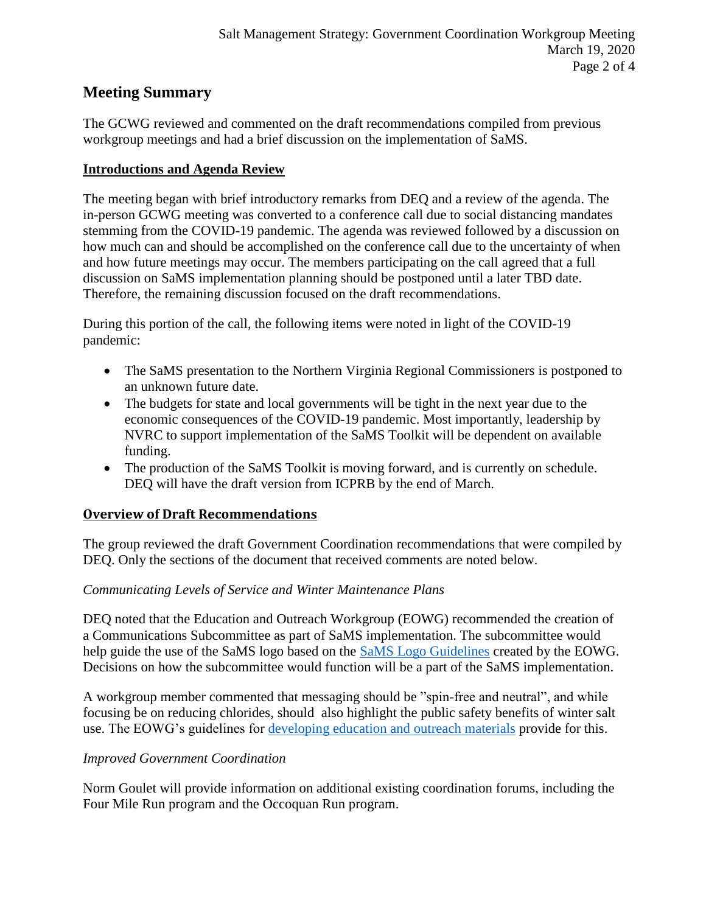## **Meeting Summary**

The GCWG reviewed and commented on the draft recommendations compiled from previous workgroup meetings and had a brief discussion on the implementation of SaMS.

#### **Introductions and Agenda Review**

The meeting began with brief introductory remarks from DEQ and a review of the agenda. The in-person GCWG meeting was converted to a conference call due to social distancing mandates stemming from the COVID-19 pandemic. The agenda was reviewed followed by a discussion on how much can and should be accomplished on the conference call due to the uncertainty of when and how future meetings may occur. The members participating on the call agreed that a full discussion on SaMS implementation planning should be postponed until a later TBD date. Therefore, the remaining discussion focused on the draft recommendations.

During this portion of the call, the following items were noted in light of the COVID-19 pandemic:

- The SaMS presentation to the Northern Virginia Regional Commissioners is postponed to an unknown future date.
- The budgets for state and local governments will be tight in the next year due to the economic consequences of the COVID-19 pandemic. Most importantly, leadership by NVRC to support implementation of the SaMS Toolkit will be dependent on available funding.
- The production of the SaMS Toolkit is moving forward, and is currently on schedule. DEQ will have the draft version from ICPRB by the end of March.

### **Overview of Draft Recommendations**

The group reviewed the draft Government Coordination recommendations that were compiled by DEQ. Only the sections of the document that received comments are noted below.

#### *Communicating Levels of Service and Winter Maintenance Plans*

DEQ noted that the Education and Outreach Workgroup (EOWG) recommended the creation of a Communications Subcommittee as part of SaMS implementation. The subcommittee would help guide the use of the SaMS logo based on the [SaMS Logo Guidelines](https://www.deq.virginia.gov/Portals/0/DEQ/Water/TMDL/SaMS/MeetingMaterials/EandOwg/Meeting4/SaMS_EOWG_Logo_Use_Guidelines_2020025.docx) created by the EOWG. Decisions on how the subcommittee would function will be a part of the SaMS implementation.

A workgroup member commented that messaging should be "spin-free and neutral", and while focusing be on reducing chlorides, should also highlight the public safety benefits of winter salt use. The EOWG's guidelines for [developing education and outreach materials](https://www.deq.virginia.gov/Portals/0/DEQ/Water/TMDL/SaMS/MeetingMaterials/EandOwg/Meeting4/SaMS_EOWG_Development_Principles_2020025.pdf) provide for this.

### *Improved Government Coordination*

Norm Goulet will provide information on additional existing coordination forums, including the Four Mile Run program and the Occoquan Run program.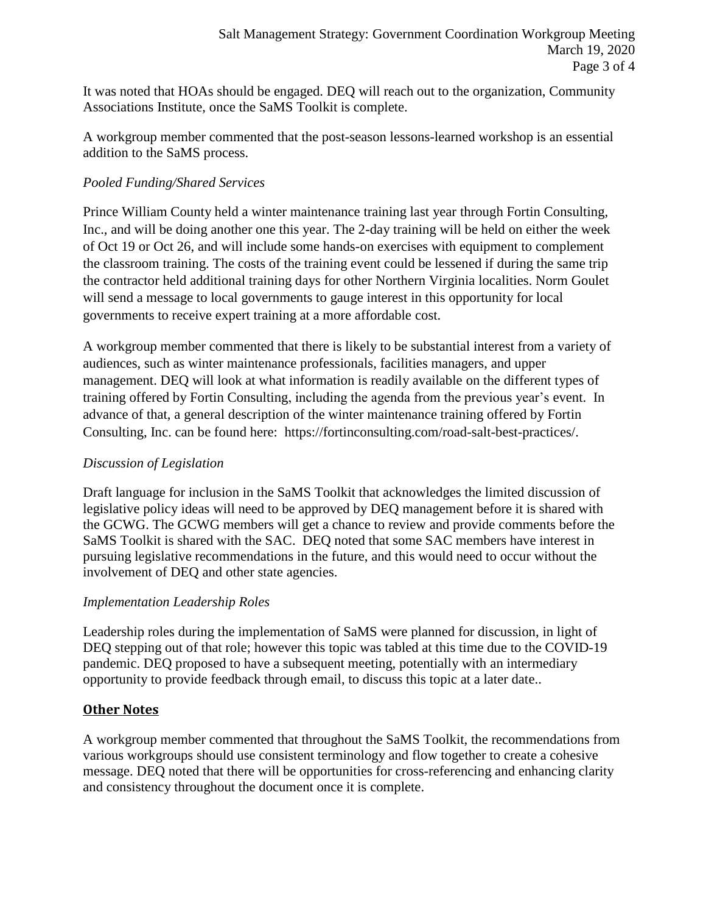It was noted that HOAs should be engaged. DEQ will reach out to the organization, Community Associations Institute, once the SaMS Toolkit is complete.

A workgroup member commented that the post-season lessons-learned workshop is an essential addition to the SaMS process.

#### *Pooled Funding/Shared Services*

Prince William County held a winter maintenance training last year through Fortin Consulting, Inc., and will be doing another one this year. The 2-day training will be held on either the week of Oct 19 or Oct 26, and will include some hands-on exercises with equipment to complement the classroom training. The costs of the training event could be lessened if during the same trip the contractor held additional training days for other Northern Virginia localities. Norm Goulet will send a message to local governments to gauge interest in this opportunity for local governments to receive expert training at a more affordable cost.

A workgroup member commented that there is likely to be substantial interest from a variety of audiences, such as winter maintenance professionals, facilities managers, and upper management. DEQ will look at what information is readily available on the different types of training offered by Fortin Consulting, including the agenda from the previous year's event. In advance of that, a general description of the winter maintenance training offered by Fortin Consulting, Inc. can be found here: https://fortinconsulting.com/road-salt-best-practices/.

#### *Discussion of Legislation*

Draft language for inclusion in the SaMS Toolkit that acknowledges the limited discussion of legislative policy ideas will need to be approved by DEQ management before it is shared with the GCWG. The GCWG members will get a chance to review and provide comments before the SaMS Toolkit is shared with the SAC. DEQ noted that some SAC members have interest in pursuing legislative recommendations in the future, and this would need to occur without the involvement of DEQ and other state agencies.

#### *Implementation Leadership Roles*

Leadership roles during the implementation of SaMS were planned for discussion, in light of DEQ stepping out of that role; however this topic was tabled at this time due to the COVID-19 pandemic. DEQ proposed to have a subsequent meeting, potentially with an intermediary opportunity to provide feedback through email, to discuss this topic at a later date..

### **Other Notes**

A workgroup member commented that throughout the SaMS Toolkit, the recommendations from various workgroups should use consistent terminology and flow together to create a cohesive message. DEQ noted that there will be opportunities for cross-referencing and enhancing clarity and consistency throughout the document once it is complete.